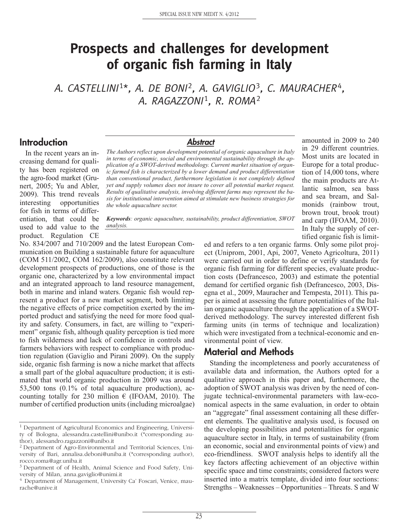# **Prospects and challenges for development of organic fish farming in Italy**

A. CASTELLINI<sup>1\*</sup>, A. DE BONI<sup>2</sup>, A. GAVIGLIO<sup>3</sup>, C. MAURACHER<sup>4</sup>, A. RAGAZZONI<sup>1</sup>, R. ROMA<sup>2</sup>

### **Introduction**

In the recent years an increasing demand for quality has been registered on the agro-food market (Grunert, 2005; Yu and Abler, 2009). This trend reveals interesting opportunities for fish in terms of differentiation, that could be used to add value to the product. Regulation CE

#### **Abstract**

*The Authors reflect upon development potential of organic aquaculture in Italy in terms of economic, social and environmental sustainability through the application of a SWOT-derived methodology. Current market situation of organic farmed fish is characterized by a lower demand and product differentiation than conventional product, furthermore legislation is not completely defined yet and supply volumes does not insure to cover all potential market request. Results of qualitative analysis, involving different farms may represent the basis for institutional intervention aimed at stimulate new business strategies for the whole aquaculture sector.*

*Keywords: organic aquaculture, sustainability, product differentiation, SWOT analysis.*

No. 834/2007 and 710/2009 and the latest European Communication on Building a sustainable future for aquaculture (COM 511/2002, COM 162/2009), also constitute relevant development prospects of productions, one of those is the organic one, characterized by a low environmental impact and an integrated approach to land resource management, both in marine and inland waters. Organic fish would represent a product for a new market segment, both limiting the negative effects of price competition exerted by the imported product and satisfying the need for more food quality and safety. Consumers, in fact, are willing to "experiment" organic fish, although quality perception is tied more to fish wilderness and lack of confidence in controls and farmers behaviors with respect to compliance with production regulation (Gaviglio and Pirani 2009). On the supply side, organic fish farming is now a niche market that affects a small part of the global aquaculture production; it is estimated that world organic production in 2009 was around 53,500 tons (0.1% of total aquaculture production), accounting totally for 230 million  $\epsilon$  (IFOAM, 2010). The number of certified production units (including microalgae)

ed and refers to a ten organic farms. Only some pilot project (Uniprom, 2001, Api, 2007, Veneto Agricoltura, 2011) were carried out in order to define or verify standards for organic fish farming for different species, evaluate production costs (Defrancesco, 2003) and estimate the potential demand for certified organic fish (Defrancesco, 2003, Disegna et al., 2009, Mauracher and Tempesta, 2011). This paper is aimed at assessing the future potentialities of the Italian organic aquaculture through the application of a SWOTderived methodology. The survey interested different fish farming units (in terms of technique and localization) which were investigated from a technical-economic and environmental point of view.

amounted in 2009 to 240 in 29 different countries. Most units are located in Europe for a total production of 14,000 tons, where the main products are Atlantic salmon, sea bass and sea bream, and Salmonids (rainbow trout, brown trout, brook trout) and carp (IFOAM, 2010). In Italy the supply of certified organic fish is limit-

#### **Material and Methods**

Standing the incompleteness and poorly accurateness of available data and information, the Authors opted for a qualitative approach in this paper and, furthermore, the adoption of SWOT analysis was driven by the need of conjugate technical-environmental parameters with law-economical aspects in the same evaluation, in order to obtain an "aggregate" final assessment containing all these different elements. The qualitative analysis used, is focused on the developing possibilities and potentialities for organic aquaculture sector in Italy, in terms of sustainability (from an economic, social and environmental points of view) and eco-friendliness. SWOT analysis helps to identify all the key factors affecting achievement of an objective within specific space and time constraints; considered factors were inserted into a matrix template, divided into four sections: Strengths – Weaknesses – Opportunities – Threats. S and W

<sup>&</sup>lt;sup>1</sup> Department of Agricultural Economics and Engineering, University of Bologna, alessandra.castellini@unibo.it (\*corresponding author), alessandro.ragazzoni@unibo.it

<sup>2</sup> Department of Agro-Environmental and Territorial Sciences, University of Bari, annalisa.deboni@uniba.it (\*corresponding author), rocco.roma@agr.uniba.it

<sup>&</sup>lt;sup>3</sup> Department of of Health, Animal Science and Food Safety, University of Milan, anna.gaviglio@unimi.it

<sup>&</sup>lt;sup>4</sup> Department of Management, University Ca' Foscari, Venice, maurache@unive.it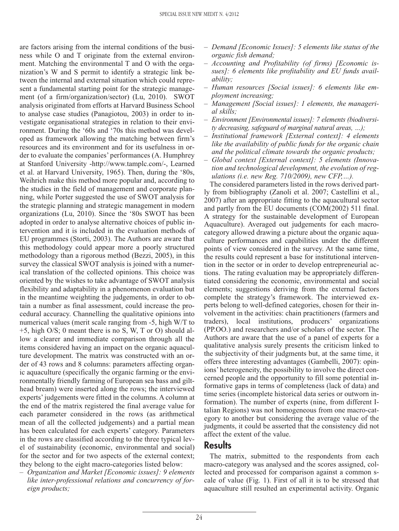are factors arising from the internal conditions of the business while O and T originate from the external environment. Matching the environmental T and O with the organization's W and S permit to identify a strategic link between the internal and external situation which could represent a fundamental starting point for the strategic management (of a firm/organization/sector) (Lu, 2010). SWOT analysis originated from efforts at Harvard Business School to analyse case studies (Panagiotou, 2003) in order to investigate organisational strategies in relation to their environment. During the '60s and '70s this method was developed as framework allowing the matching between firm's resources and its environment and for its usefulness in order to evaluate the companies' performances (A. Humphrey at Stanford University -http://www.tamplc.com/-, Learned et al. at Harvard University, 1965). Then, during the '80s, Weihrich make this method more popular and, according to the studies in the field of management and corporate planning, while Porter suggested the use of SWOT analysis for the strategic planning and strategic management in modern organizations (Lu, 2010). Since the '80s SWOT has been adopted in order to analyse alternative choices of public intervention and it is included in the evaluation methods of EU programmes (Storti, 2003). The Authors are aware that this methodology could appear more a poorly structured methodology than a rigorous method (Bezzi, 2005), in this survey the classical SWOT analysis is joined with a numerical translation of the collected opinions. This choice was oriented by the wishes to take advantage of SWOT analysis flexibility and adaptability in a phenomenon evaluation but in the meantime weighting the judgements, in order to obtain a number as final assessment, could increase the procedural accuracy. Channelling the qualitative opinions into numerical values (merit scale ranging from -5, high W/T to +5, high O/S; 0 meant there is no S, W, T or O) should allow a clearer and immediate comparison through all the items considered having an impact on the organic aquaculture development. The matrix was constructed with an order of 43 rows and 8 columns: parameters affecting organic aquaculture (specifically the organic farming or the environmentally friendly farming of European sea bass and gilthead bream) were inserted along the rows; the interviewed experts' judgements were fitted in the columns. A column at the end of the matrix registered the final average value for each parameter considered in the rows (as arithmetical mean of all the collected judgements) and a partial mean has been calculated for each experts' category. Parameters in the rows are classified according to the three typical level of sustainability (economic, environmental and social) for the sector and for two aspects of the external context; they belong to the eight macro-categories listed below:

*– Organization and Market [Economic issues]: 9 elements like inter-professional relations and concurrency of foreign products;*

- *Demand [Economic Issues]: 5 elements like status of the organic fish demand;*
- *Accounting and Profitability (of firms) [Economic issues]: 6 elements like profitability and EU funds availability;*
- *Human resources [Social issues]: 6 elements like employment increasing;*
- *Management [Social issues]: 1 elements, the managerial skills;*
- *– Environment [Environmental issues]: 7 elements (biodiversity decreasing, safeguard of marginal natural areas, …);*
- *Institutional framework [External context]: 4 elements like the availability of public funds for the organic chain and the political climate towards the organic products;*
- *Global context [External context]: 5 elements (Innovation and technological development, the evolution of regulations (i.e. new Reg. 710/2009), new CFP,…).*

The considered parameters listed in the rows derived partly from bibliography (Zanoli et al. 2007; Castellini et al., 2007) after an appropriate fitting to the aquacultural sector and partly from the EU documents (COM(2002) 511 final. A strategy for the sustainable development of European Aquaculture). Averaged out judgements for each macrocategory allowed drawing a picture about the organic aquaculture performances and capabilities under the different points of view considered in the survey. At the same time, the results could represent a base for institutional intervention in the sector or in order to develop entrepreneurial actions. The rating evaluation may be appropriately differentiated considering the economic, environmental and social elements; suggestions deriving from the external factors complete the strategy's framework. The interviewed experts belong to well-defined categories, chosen for their involvement in the activities: chain practitioners (farmers and traders), local institutions, producers' organizations (PP.OO.) and researchers and/or scholars of the sector. The Authors are aware that the use of a panel of experts for a qualitative analysis surely presents the criticism linked to the subjectivity of their judgments but, at the same time, it offers three interesting advantages (Gambelli, 2007): opinions' heterogeneity, the possibility to involve the direct concerned people and the opportunity to fill some potential informative gaps in terms of completeness (lack of data) and time series (incomplete historical data series or outworn information). The number of experts (nine, from different Italian Regions) was not homogeneous from one macro-category to another but considering the average value of the judgments, it could be asserted that the consistency did not affect the extent of the value.

### **Results**

The matrix, submitted to the respondents from each macro-category was analysed and the scores assigned, collected and processed for comparison against a common scale of value (Fig. 1). First of all it is to be stressed that aquaculture still resulted an experimental activity. Organic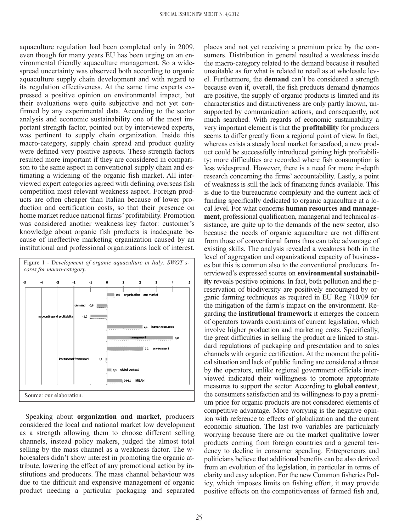aquaculture regulation had been completed only in 2009, even though for many years EU has been urging on an environmental friendly aquaculture management. So a widespread uncertainty was observed both according to organic aquaculture supply chain development and with regard to its regulation effectiveness. At the same time experts expressed a positive opinion on environmental impact, but their evaluations were quite subjective and not yet confirmed by any experimental data. According to the sector analysis and economic sustainability one of the most important strength factor, pointed out by interviewed experts, was pertinent to supply chain organization. Inside this macro-category, supply chain spread and product quality were defined very positive aspects. These strength factors resulted more important if they are considered in comparison to the same aspect in conventional supply chain and estimating a widening of the organic fish market. All interviewed expert categories agreed with defining overseas fish competition most relevant weakness aspect. Foreign products are often cheaper than Italian because of lower production and certification costs, so that their presence on home market reduce national firms' profitability. Promotion was considered another weakness key factor: customer's knowledge about organic fish products is inadequate because of ineffective marketing organization caused by an institutional and professional organizations lack of interest.



Speaking about **organization and market**, producers considered the local and national market low development as a strength allowing them to choose different selling channels, instead policy makers, judged the almost total selling by the mass channel as a weakness factor. The wholesalers didn't show interest in promoting the organic attribute, lowering the effect of any promotional action by institutions and producers. The mass channel behaviour was due to the difficult and expensive management of organic product needing a particular packaging and separated

places and not yet receiving a premium price by the consumers. Distribution in general resulted a weakness inside the macro-category related to the demand because it resulted unsuitable as for what is related to retail as at wholesale level. Furthermore, the **demand** can't be considered a strength because even if, overall, the fish products demand dynamics are positive, the supply of organic products is limited and its characteristics and distinctiveness are only partly known, unsupported by communication actions, and consequently, not much searched. With regards of economic sustainability a very important element is that the **profitability** for producers seems to differ greatly from a regional point of view. In fact, whereas exists a steady local market for seafood, a new product could be successfully introduced gaining high profitability; more difficulties are recorded where fish consumption is less widespread. However, there is a need for more in-depth research concerning the firms' accountability. Lastly, a point of weakness is still the lack of financing funds available. This is due to the bureaucratic complexity and the current lack of funding specifically dedicated to organic aquaculture at a local level. For what concerns **human resources and management**, professional qualification, managerial and technical assistance, are quite up to the demands of the new sector, also because the needs of organic aquaculture are not different from those of conventional farms thus can take advantage of existing skills. The analysis revealed a weakness both in the level of aggregation and organizational capacity of businesses but this is common also to the conventional producers. Interviewed's expressed scores on **environmental sustainability** reveals positive opinions. In fact, both pollution and the preservation of biodiversity are positively encouraged by organic farming techniques as required in EU Reg 710/09 for the mitigation of the farm's impact on the environment. Regarding the **institutional framework** it emerges the concern of operators towards constraints of current legislation, which involve higher production and marketing costs. Specifically, the great difficulties in selling the product are linked to standard regulations of packaging and presentation and to sales channels with organic certification. At the moment the political situation and lack of public funding are considered a threat by the operators, unlike regional government officials interviewed indicated their willingness to promote appropriate measures to support the sector. According to **global context**, the consumers satisfaction and its willingness to pay a premium price for organic products are not considered elements of competitive advantage. More worrying is the negative opinion with reference to effects of globalization and the current economic situation. The last two variables are particularly worrying because there are on the market qualitative lower products coming from foreign countries and a general tendency to decline in consumer spending. Entrepreneurs and politicians believe that additional benefits can be also derived from an evolution of the legislation, in particular in terms of clarity and easy adoption. For the new Common fisheries Policy, which imposes limits on fishing effort, it may provide positive effects on the competitiveness of farmed fish and,